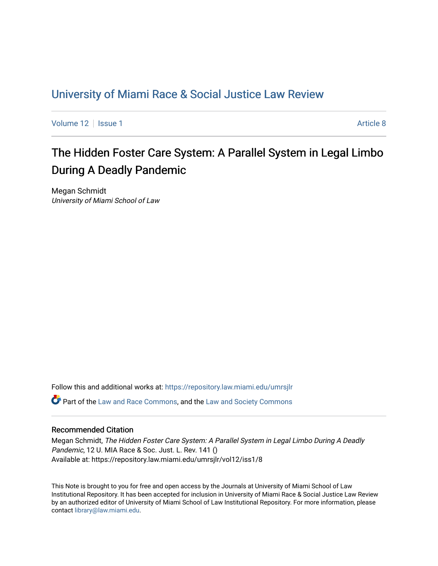## [University of Miami Race & Social Justice Law Review](https://repository.law.miami.edu/umrsjlr)

[Volume 12](https://repository.law.miami.edu/umrsjlr/vol12) | [Issue 1](https://repository.law.miami.edu/umrsjlr/vol12/iss1) Article 8

# The Hidden Foster Care System: A Parallel System in Legal Limbo During A Deadly Pandemic

Megan Schmidt University of Miami School of Law

Follow this and additional works at: [https://repository.law.miami.edu/umrsjlr](https://repository.law.miami.edu/umrsjlr?utm_source=repository.law.miami.edu%2Fumrsjlr%2Fvol12%2Fiss1%2F8&utm_medium=PDF&utm_campaign=PDFCoverPages)

Part of the [Law and Race Commons,](http://network.bepress.com/hgg/discipline/1300?utm_source=repository.law.miami.edu%2Fumrsjlr%2Fvol12%2Fiss1%2F8&utm_medium=PDF&utm_campaign=PDFCoverPages) and the [Law and Society Commons](http://network.bepress.com/hgg/discipline/853?utm_source=repository.law.miami.edu%2Fumrsjlr%2Fvol12%2Fiss1%2F8&utm_medium=PDF&utm_campaign=PDFCoverPages) 

## Recommended Citation

Megan Schmidt, The Hidden Foster Care System: A Parallel System in Legal Limbo During A Deadly Pandemic, 12 U. MIA Race & Soc. Just. L. Rev. 141 () Available at: https://repository.law.miami.edu/umrsjlr/vol12/iss1/8

This Note is brought to you for free and open access by the Journals at University of Miami School of Law Institutional Repository. It has been accepted for inclusion in University of Miami Race & Social Justice Law Review by an authorized editor of University of Miami School of Law Institutional Repository. For more information, please contact [library@law.miami.edu](mailto:library@law.miami.edu).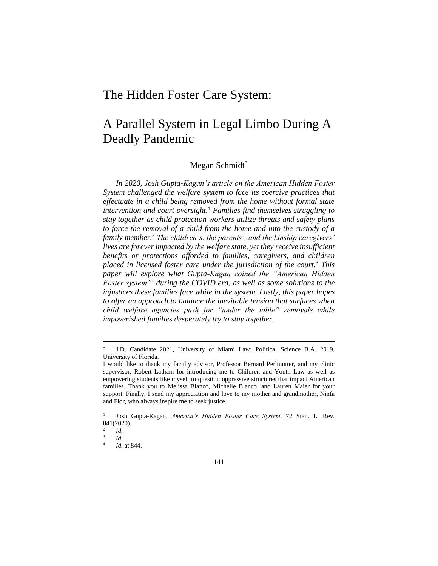## The Hidden Foster Care System:

# A Parallel System in Legal Limbo During A Deadly Pandemic

## Megan Schmidt\*

*In 2020, Josh Gupta-Kagan's article on the American Hidden Foster System challenged the welfare system to face its coercive practices that effectuate in a child being removed from the home without formal state intervention and court oversight.*<sup>1</sup> *Families find themselves struggling to stay together as child protection workers utilize threats and safety plans to force the removal of a child from the home and into the custody of a family member.*<sup>2</sup> *The children's, the parents', and the kinship caregivers' lives are forever impacted by the welfare state, yet they receive insufficient benefits or protections afforded to families, caregivers, and children placed in licensed foster care under the jurisdiction of the court.*<sup>3</sup> *This paper will explore what Gupta-Kagan coined the "American Hidden Foster system"*<sup>4</sup> *during the COVID era, as well as some solutions to the injustices these families face while in the system. Lastly, this paper hopes to offer an approach to balance the inevitable tension that surfaces when child welfare agencies push for "under the table" removals while impoverished families desperately try to stay together.*

<sup>\*</sup> J.D. Candidate 2021, University of Miami Law; Political Science B.A. 2019, University of Florida.

I would like to thank my faculty advisor, Professor Bernard Perlmutter, and my clinic supervisor, Robert Latham for introducing me to Children and Youth Law as well as empowering students like myself to question oppressive structures that impact American families. Thank you to Melissa Blanco, Michelle Blanco, and Lauren Maier for your support. Finally, I send my appreciation and love to my mother and grandmother, Ninfa and Flor, who always inspire me to seek justice.

<sup>1</sup> Josh Gupta-Kagan, *America's Hidden Foster Care System*, 72 Stan. L. Rev. 841(2020).

<sup>2</sup> *Id.* 3

*Id.* 4

*Id.* at 844.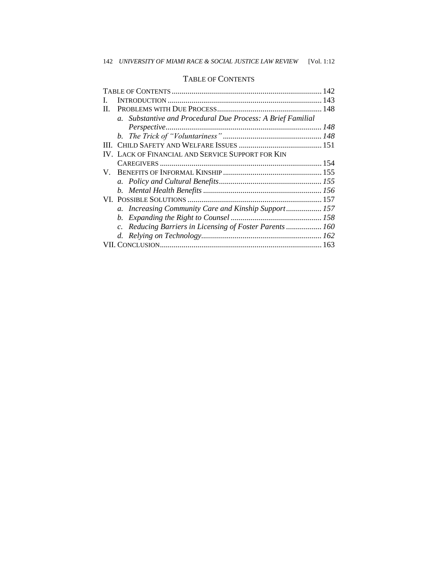## TABLE OF CONTENTS

| П. |                                                             |  |
|----|-------------------------------------------------------------|--|
|    | a. Substantive and Procedural Due Process: A Brief Familial |  |
|    |                                                             |  |
|    |                                                             |  |
|    |                                                             |  |
|    | IV. LACK OF FINANCIAL AND SERVICE SUPPORT FOR KIN           |  |
|    |                                                             |  |
|    |                                                             |  |
|    |                                                             |  |
|    |                                                             |  |
|    |                                                             |  |
|    | a. Increasing Community Care and Kinship Support 157        |  |
|    |                                                             |  |
|    | c. Reducing Barriers in Licensing of Foster Parents 160     |  |
|    |                                                             |  |
|    |                                                             |  |
|    |                                                             |  |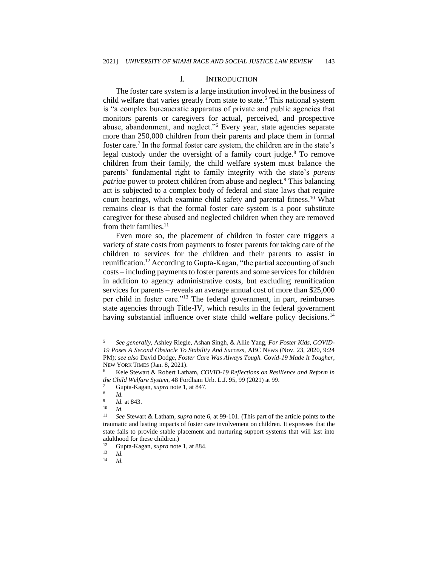#### I. INTRODUCTION

The foster care system is a large institution involved in the business of child welfare that varies greatly from state to state.<sup>5</sup> This national system is "a complex bureaucratic apparatus of private and public agencies that monitors parents or caregivers for actual, perceived, and prospective abuse, abandonment, and neglect."<sup>6</sup> Every year, state agencies separate more than 250,000 children from their parents and place them in formal foster care.<sup>7</sup> In the formal foster care system, the children are in the state's legal custody under the oversight of a family court judge.<sup>8</sup> To remove children from their family, the child welfare system must balance the parents' fundamental right to family integrity with the state's *parens patriae* power to protect children from abuse and neglect.<sup>9</sup> This balancing act is subjected to a complex body of federal and state laws that require court hearings, which examine child safety and parental fitness.<sup>10</sup> What remains clear is that the formal foster care system is a poor substitute caregiver for these abused and neglected children when they are removed from their families.<sup>11</sup>

Even more so, the placement of children in foster care triggers a variety of state costs from payments to foster parents for taking care of the children to services for the children and their parents to assist in reunification.<sup>12</sup> According to Gupta-Kagan, "the partial accounting of such costs – including payments to foster parents and some services for children in addition to agency administrative costs, but excluding reunification services for parents – reveals an average annual cost of more than \$25,000 per child in foster care."<sup>13</sup> The federal government, in part, reimburses state agencies through Title-IV, which results in the federal government having substantial influence over state child welfare policy decisions.<sup>14</sup>

<sup>5</sup> *See generally*, Ashley Riegle, Ashan Singh, & Allie Yang, *For Foster Kids, COVID-19 Poses A Second Obstacle To Stability And Success*, ABC NEWS (Nov. 23, 2020, 9:24 PM); *see also* David Dodge, *Foster Care Was Always Tough. Covid-19 Made It Tougher*, NEW YORK TIMES (Jan. 8, 2021).

<sup>6</sup> Kele Stewart & Robert Latham, *COVID-19 Reflections on Resilience and Reform in the Child Welfare System*, 48 Fordham Urb. L.J. 95, 99 (2021) at 99.

<sup>7</sup> Gupta-Kagan, *supra* note 1, at 847.

<sup>8</sup> *Id.*  $\overline{9}$ 

*Id.* at 843.

 $\frac{10}{11}$  *Id.* 

<sup>11</sup> *See* Stewart & Latham, *supra* note 6, at 99-101. (This part of the article points to the traumatic and lasting impacts of foster care involvement on children. It expresses that the state fails to provide stable placement and nurturing support systems that will last into adulthood for these children.)<br> $\frac{12}{12}$  Gunta-Kagan *sunra* note

<sup>12</sup> Gupta-Kagan, *supra* note 1, at 884.

 $\frac{13}{14}$  *Id.* <sup>14</sup> *Id.*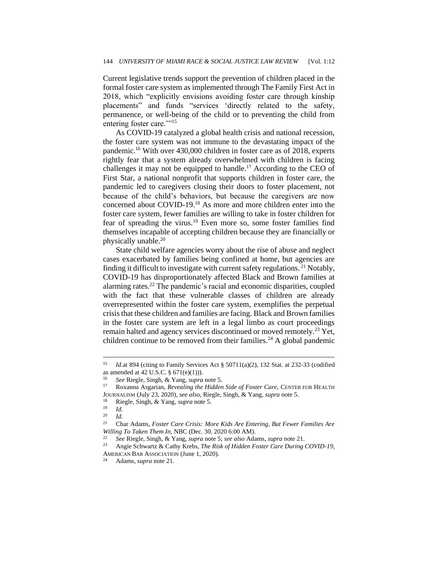Current legislative trends support the prevention of children placed in the formal foster care system as implemented through The Family First Act in 2018, which "explicitly envisions avoiding foster care through kinship placements" and funds "services 'directly related to the safety, permanence, or well-being of the child or to preventing the child from entering foster care."<sup>15</sup>

As COVID-19 catalyzed a global health crisis and national recession, the foster care system was not immune to the devastating impact of the pandemic.<sup>16</sup> With over 430,000 children in foster care as of 2018, experts rightly fear that a system already overwhelmed with children is facing challenges it may not be equipped to handle.<sup>17</sup> According to the CEO of First Star, a national nonprofit that supports children in foster care, the pandemic led to caregivers closing their doors to foster placement, not because of the child's behaviors, but because the caregivers are now concerned about COVID-19.<sup>18</sup> As more and more children enter into the foster care system, fewer families are willing to take in foster children for fear of spreading the virus.<sup>19</sup> Even more so, some foster families find themselves incapable of accepting children because they are financially or physically unable.<sup>20</sup>

State child welfare agencies worry about the rise of abuse and neglect cases exacerbated by families being confined at home, but agencies are finding it difficult to investigate with current safety regulations. <sup>21</sup> Notably, COVID-19 has disproportionately affected Black and Brown families at alarming rates.<sup>22</sup> The pandemic's racial and economic disparities, coupled with the fact that these vulnerable classes of children are already overrepresented within the foster care system, exemplifies the perpetual crisis that these children and families are facing. Black and Brown families in the foster care system are left in a legal limbo as court proceedings remain halted and agency services discontinued or moved remotely.<sup>23</sup> Yet, children continue to be removed from their families.<sup>24</sup> A global pandemic

Adams, *supra* note 21.

<sup>15</sup> *Id.*at 894 (citing to Family Services Act § 50711(a)(2), 132 Stat. at 232-33 (codified as amended at 42 U.S.C. § 671(e)(1))).

<sup>16</sup> *See* Riegle, Singh, & Yang, *supra* note 5.

<sup>17</sup> Roxanna Asgarian, *Revealing the Hidden Side of Foster Care*, CENTER FOR HEALTH JOURNALISM (July 23, 2020), *see also*, Riegle, Singh, & Yang, *supra* note 5.

<sup>18</sup> Riegle, Singh, & Yang, *supra* note 5.

 $\frac{19}{20}$  *Id.* 

 $\frac{20}{21}$  *Id.* 

<sup>21</sup> Char Adams, *Foster Care Crisis: More Kids Are Entering, But Fewer Families Are Willing To Taken Them In*, NBC (Dec. 30, 2020 6:00 AM).

<sup>22</sup> *See* Riegle, Singh, & Yang, *supra* note 5; *see also* Adams, *supra* note 21.

<sup>23</sup> Angie Schwartz & Cathy Krebs, *The Risk of Hidden Foster Care During COVID-19*, AMERICAN BAR ASSOCIATION (June 1, 2020).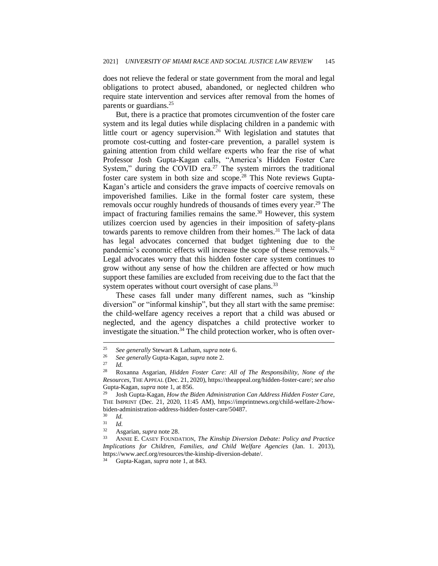does not relieve the federal or state government from the moral and legal obligations to protect abused, abandoned, or neglected children who require state intervention and services after removal from the homes of parents or guardians.<sup>25</sup>

But, there is a practice that promotes circumvention of the foster care system and its legal duties while displacing children in a pandemic with little court or agency supervision.<sup>26</sup> With legislation and statutes that promote cost-cutting and foster-care prevention, a parallel system is gaining attention from child welfare experts who fear the rise of what Professor Josh Gupta-Kagan calls, "America's Hidden Foster Care System," during the COVID era.<sup>27</sup> The system mirrors the traditional foster care system in both size and scope.<sup>28</sup> This Note reviews Gupta-Kagan's article and considers the grave impacts of coercive removals on impoverished families. Like in the formal foster care system, these removals occur roughly hundreds of thousands of times every year.<sup>29</sup> The impact of fracturing families remains the same.<sup>30</sup> However, this system utilizes coercion used by agencies in their imposition of safety-plans towards parents to remove children from their homes.<sup>31</sup> The lack of data has legal advocates concerned that budget tightening due to the pandemic's economic effects will increase the scope of these removals.<sup>32</sup> Legal advocates worry that this hidden foster care system continues to grow without any sense of how the children are affected or how much support these families are excluded from receiving due to the fact that the system operates without court oversight of case plans.<sup>33</sup>

These cases fall under many different names, such as "kinship diversion" or "informal kinship", but they all start with the same premise: the child-welfare agency receives a report that a child was abused or neglected, and the agency dispatches a child protective worker to investigate the situation. $34$  The child protection worker, who is often over-

 $\frac{30}{31}$  *Id.* 

<sup>25</sup> *See generally* Stewart & Latham, *supra* note 6.

<sup>26</sup> *See generally* Gupta-Kagan, *supra* note 2.

<sup>27</sup> *Id.*

<sup>28</sup> Roxanna Asgarian, *Hidden Foster Care: All of The Responsibility, None of the Resources*, THE APPEAL (Dec. 21, 2020), https://theappeal.org/hidden-foster-care/; *see also*  Gupta-Kagan, *supra* note 1, at 856.

<sup>29</sup> Josh Gupta-Kagan, *How the Biden Administration Can Address Hidden Foster Care*, THE IMPRINT (Dec. 21, 2020, 11:45 AM), https://imprintnews.org/child-welfare-2/howbiden-administration-address-hidden-foster-care/50487.

 $rac{31}{32}$  *Id.* 

Asgarian, *supra* note 28.

<sup>33</sup> ANNIE E. CASEY FOUNDATION, *The Kinship Diversion Debate: Policy and Practice Implications for Children, Families, and Child Welfare Agencies* (Jan. 1. 2013), https://www.aecf.org/resources/the-kinship-diversion-debate/.

<sup>34</sup> Gupta-Kagan, *supra* note 1, at 843.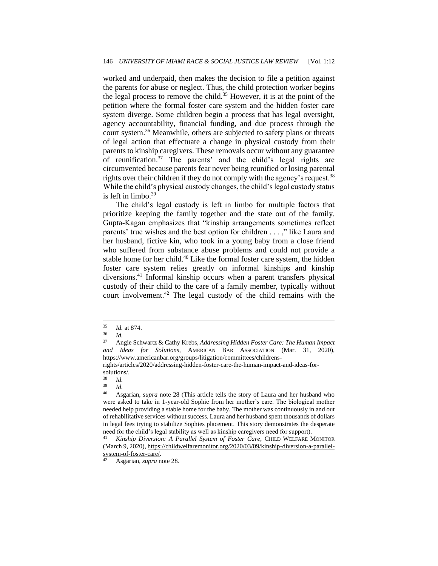worked and underpaid, then makes the decision to file a petition against the parents for abuse or neglect. Thus, the child protection worker begins the legal process to remove the child.<sup>35</sup> However, it is at the point of the petition where the formal foster care system and the hidden foster care system diverge. Some children begin a process that has legal oversight, agency accountability, financial funding, and due process through the court system.<sup>36</sup> Meanwhile, others are subjected to safety plans or threats of legal action that effectuate a change in physical custody from their parents to kinship caregivers. These removals occur without any guarantee of reunification.<sup>37</sup> The parents' and the child's legal rights are circumvented because parents fear never being reunified or losing parental rights over their children if they do not comply with the agency's request.<sup>38</sup> While the child's physical custody changes, the child's legal custody status is left in limbo.<sup>39</sup>

The child's legal custody is left in limbo for multiple factors that prioritize keeping the family together and the state out of the family. Gupta-Kagan emphasizes that "kinship arrangements sometimes reflect parents' true wishes and the best option for children . . . ," like Laura and her husband, fictive kin, who took in a young baby from a close friend who suffered from substance abuse problems and could not provide a stable home for her child.<sup>40</sup> Like the formal foster care system, the hidden foster care system relies greatly on informal kinships and kinship diversions.<sup>41</sup> Informal kinship occurs when a parent transfers physical custody of their child to the care of a family member, typically without court involvement.<sup>42</sup> The legal custody of the child remains with the

rights/articles/2020/addressing-hidden-foster-care-the-human-impact-and-ideas-forsolutions/.

 $\frac{39}{40}$  *Id.* 

 $\frac{35}{36}$  *Id.* at 874.

 $rac{36}{37}$  *Id.* 

<sup>37</sup> Angie Schwartz & Cathy Krebs, *Addressing Hidden Foster Care: The Human Impact and Ideas for Solutions*, AMERICAN BAR ASSOCIATION (Mar. 31, 2020), https://www.americanbar.org/groups/litigation/committees/childrens-

 $rac{38}{39}$  *Id.* 

<sup>40</sup> Asgarian, *supra* note 28 (This article tells the story of Laura and her husband who were asked to take in 1-year-old Sophie from her mother's care. The biological mother needed help providing a stable home for the baby. The mother was continuously in and out of rehabilitative services without success. Laura and her husband spent thousands of dollars in legal fees trying to stabilize Sophies placement. This story demonstrates the desperate need for the child's legal stability as well as kinship caregivers need for support).

<sup>41</sup> *Kinship Diversion: A Parallel System of Foster Care*, CHILD WELFARE MONITOR (March 9, 2020), https://childwelfaremonitor.org/2020/03/09/kinship-diversion-a-parallelsystem-of-foster-care/.

<sup>42</sup> Asgarian, *supra* note 28.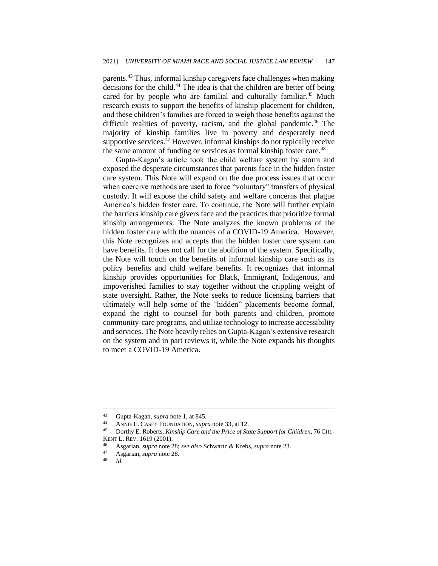parents.<sup>43</sup> Thus, informal kinship caregivers face challenges when making decisions for the child.<sup>44</sup> The idea is that the children are better off being cared for by people who are familial and culturally familiar.<sup>45</sup> Much research exists to support the benefits of kinship placement for children, and these children's families are forced to weigh those benefits against the difficult realities of poverty, racism, and the global pandemic.<sup>46</sup> The majority of kinship families live in poverty and desperately need supportive services.<sup>47</sup> However, informal kinships do not typically receive the same amount of funding or services as formal kinship foster care.<sup>48</sup>

Gupta-Kagan's article took the child welfare system by storm and exposed the desperate circumstances that parents face in the hidden foster care system. This Note will expand on the due process issues that occur when coercive methods are used to force "voluntary" transfers of physical custody. It will expose the child safety and welfare concerns that plague America's hidden foster care. To continue, the Note will further explain the barriers kinship care givers face and the practices that prioritize formal kinship arrangements. The Note analyzes the known problems of the hidden foster care with the nuances of a COVID-19 America. However, this Note recognizes and accepts that the hidden foster care system can have benefits. It does not call for the abolition of the system. Specifically, the Note will touch on the benefits of informal kinship care such as its policy benefits and child welfare benefits. It recognizes that informal kinship provides opportunities for Black, Immigrant, Indigenous, and impoverished families to stay together without the crippling weight of state oversight. Rather, the Note seeks to reduce licensing barriers that ultimately will help some of the "hidden" placements become formal, expand the right to counsel for both parents and children, promote community-care programs, and utilize technology to increase accessibility and services. The Note heavily relies on Gupta-Kagan's extensive research on the system and in part reviews it, while the Note expands his thoughts to meet a COVID-19 America.

<sup>43</sup> Gupta-Kagan, *supra* note 1, at 845.

<sup>44</sup> ANNIE E. CASEY FOUNDATION, *supra* note 33, at 12.<br><sup>45</sup> Dorthy E. Roberts, *Kinship Care and the Price of St.* 

<sup>45</sup> Dorthy E. Roberts, *Kinship Care and the Price of State Support for Children*, 76 CHI.- KENT L. REV. 1619 (2001).

<sup>46</sup> Asgarian, *supra* note 28; *see also* Schwartz & Krebs, *supra* note 23.

<sup>47</sup> Asgarian, *supra* note 28.

 $Id$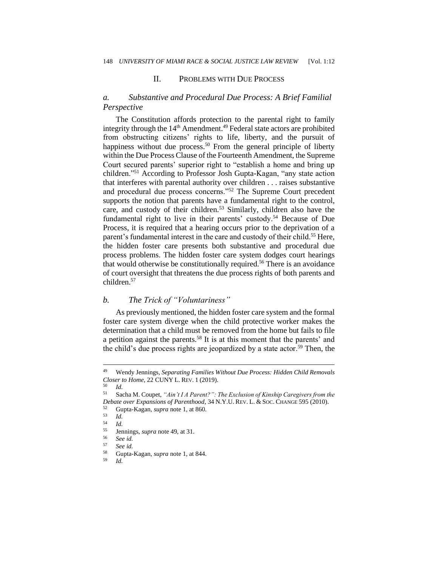#### II. PROBLEMS WITH DUE PROCESS

## *a. Substantive and Procedural Due Process: A Brief Familial Perspective*

The Constitution affords protection to the parental right to family integrity through the 14<sup>th</sup> Amendment.<sup>49</sup> Federal state actors are prohibited from obstructing citizens' rights to life, liberty, and the pursuit of happiness without due process.<sup>50</sup> From the general principle of liberty within the Due Process Clause of the Fourteenth Amendment, the Supreme Court secured parents' superior right to "establish a home and bring up children."<sup>51</sup> According to Professor Josh Gupta-Kagan, "any state action that interferes with parental authority over children . . . raises substantive and procedural due process concerns."<sup>52</sup> The Supreme Court precedent supports the notion that parents have a fundamental right to the control, care, and custody of their children.<sup>53</sup> Similarly, children also have the fundamental right to live in their parents' custody.<sup>54</sup> Because of Due Process, it is required that a hearing occurs prior to the deprivation of a parent's fundamental interest in the care and custody of their child.<sup>55</sup> Here, the hidden foster care presents both substantive and procedural due process problems. The hidden foster care system dodges court hearings that would otherwise be constitutionally required.<sup>56</sup> There is an avoidance of court oversight that threatens the due process rights of both parents and children.<sup>57</sup>

#### *b. The Trick of "Voluntariness"*

As previously mentioned, the hidden foster care system and the formal foster care system diverge when the child protective worker makes the determination that a child must be removed from the home but fails to file a petition against the parents.<sup>58</sup> It is at this moment that the parents' and the child's due process rights are jeopardized by a state actor.<sup>59</sup> Then, the

<sup>49</sup> Wendy Jennings, *Separating Families Without Due Process: Hidden Child Removals Closer to Home*, 22 CUNY L. REV. 1 (2019).

 $\frac{50}{51}$  *Id.* 

<sup>51</sup> Sacha M. Coupet, *"Ain't I A Parent?": The Exclusion of Kinship Caregivers from the Debate over Expansions of Parenthood*, 34 N.Y.U. REV. L. & SOC. CHANGE 595 (2010).

<sup>52</sup> Gupta-Kagan, *supra* note 1, at 860.

 $\begin{array}{cc} 53 & Id. \\ 54 & Id. \end{array}$ 

 $\frac{54}{55}$  *Id.* 

 $^{55}$  Jennings, *supra* note 49, at 31.

<sup>56</sup> *See id.*

<sup>57</sup> *See id.*

<sup>58</sup> Gupta-Kagan, *supra* note 1, at 844.

<sup>59</sup> *Id.*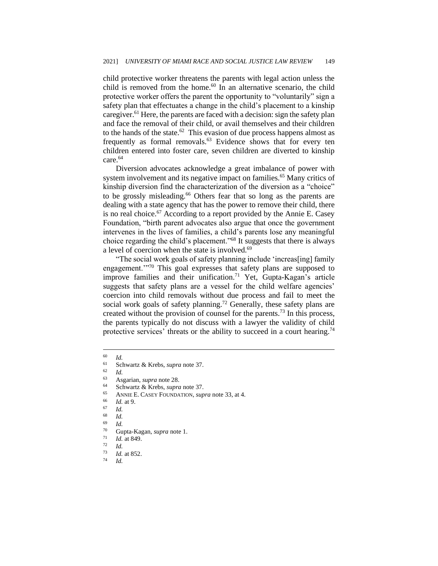child protective worker threatens the parents with legal action unless the child is removed from the home. $60$  In an alternative scenario, the child protective worker offers the parent the opportunity to "voluntarily" sign a safety plan that effectuates a change in the child's placement to a kinship caregiver.<sup>61</sup> Here, the parents are faced with a decision: sign the safety plan and face the removal of their child, or avail themselves and their children to the hands of the state. $62$  This evasion of due process happens almost as frequently as formal removals.<sup>63</sup> Evidence shows that for every ten children entered into foster care, seven children are diverted to kinship care.<sup>64</sup>

Diversion advocates acknowledge a great imbalance of power with system involvement and its negative impact on families.<sup>65</sup> Many critics of kinship diversion find the characterization of the diversion as a "choice" to be grossly misleading.<sup>66</sup> Others fear that so long as the parents are dealing with a state agency that has the power to remove their child, there is no real choice.<sup>67</sup> According to a report provided by the Annie E. Casey Foundation, "birth parent advocates also argue that once the government intervenes in the lives of families, a child's parents lose any meaningful choice regarding the child's placement."<sup>68</sup> It suggests that there is always a level of coercion when the state is involved.<sup>69</sup>

"The social work goals of safety planning include 'increas[ing] family engagement."<sup>70</sup> This goal expresses that safety plans are supposed to improve families and their unification.<sup>71</sup> Yet, Gupta-Kagan's article suggests that safety plans are a vessel for the child welfare agencies' coercion into child removals without due process and fail to meet the social work goals of safety planning.<sup>72</sup> Generally, these safety plans are created without the provision of counsel for the parents.<sup>73</sup> In this process, the parents typically do not discuss with a lawyer the validity of child protective services' threats or the ability to succeed in a court hearing.<sup>74</sup>

- <sup>64</sup> Schwartz & Krebs, *supra* note 37.
- <sup>65</sup> ANNIE E. CASEY FOUNDATION, *supra* note 33, at 4.

 $\begin{bmatrix} 60 & Id. \\ 61 & \mathbf{C} \end{bmatrix}$ 

<sup>&</sup>lt;sup>61</sup> Schwartz & Krebs, *supra* note 37.

 $\frac{62}{63}$  *Id.* 

<sup>63</sup> Asgarian, *supra* note 28.

 $\frac{66}{67}$  *Id.* at 9.

 $\frac{67}{68}$  *Id.* 

 $\begin{array}{cc} 68 & Id. \\ 69 & Id. \end{array}$ 

 $\frac{69}{70}$  *Id.* 

 $^{70}$  Gupta-Kagan, *supra* note 1.<br><sup>71</sup> *L*d at 849

 $\frac{71}{72}$  *Id.* at 849.

 $rac{72}{73}$  *Id.* 

 $\frac{73}{74}$  *Id.* at 852.

<sup>74</sup> *Id.*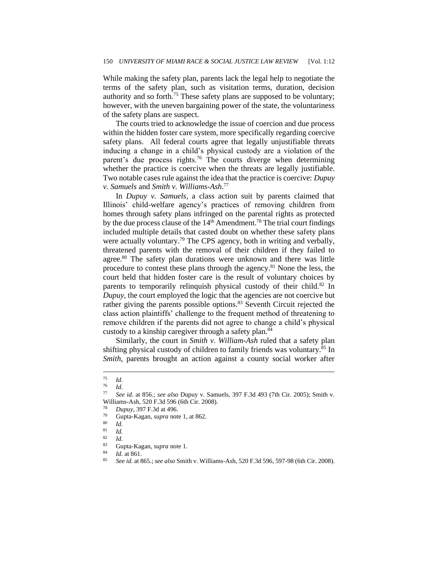While making the safety plan, parents lack the legal help to negotiate the terms of the safety plan, such as visitation terms, duration, decision authority and so forth.<sup>75</sup> These safety plans are supposed to be voluntary; however, with the uneven bargaining power of the state, the voluntariness of the safety plans are suspect.

The courts tried to acknowledge the issue of coercion and due process within the hidden foster care system, more specifically regarding coercive safety plans. All federal courts agree that legally unjustifiable threats inducing a change in a child's physical custody are a violation of the parent's due process rights.<sup>76</sup> The courts diverge when determining whether the practice is coercive when the threats are legally justifiable. Two notable cases rule against the idea that the practice is coercive: *Dupuy v. Samuels* and *Smith v. Williams-Ash*. 77

In *Dupuy v. Samuels*, a class action suit by parents claimed that Illinois' child-welfare agency's practices of removing children from homes through safety plans infringed on the parental rights as protected by the due process clause of the  $14<sup>th</sup>$  Amendment.<sup>78</sup> The trial court findings included multiple details that casted doubt on whether these safety plans were actually voluntary.<sup>79</sup> The CPS agency, both in writing and verbally, threatened parents with the removal of their children if they failed to agree.<sup>80</sup> The safety plan durations were unknown and there was little procedure to contest these plans through the agency.<sup>81</sup> None the less, the court held that hidden foster care is the result of voluntary choices by parents to temporarily relinquish physical custody of their child.<sup>82</sup> In *Dupuy*, the court employed the logic that the agencies are not coercive but rather giving the parents possible options.<sup>83</sup> Seventh Circuit rejected the class action plaintiffs' challenge to the frequent method of threatening to remove children if the parents did not agree to change a child's physical custody to a kinship caregiver through a safety plan.<sup>84</sup>

Similarly*,* the court in *Smith v. William-Ash* ruled that a safety plan shifting physical custody of children to family friends was voluntary.<sup>85</sup> In *Smith*, parents brought an action against a county social worker after

 $\frac{75}{76}$  *Id.* 

 $\frac{76}{77}$  *Id.* 

<sup>77</sup> *See id.* at 856.; *see also* Dupuy v. Samuels, 397 F.3d 493 (7th Cir. 2005); Smith v. Williams-Ash, 520 F.3d 596 (6th Cir. 2008).

<sup>78</sup> *Dupuy*, 397 F.3d at 496.

<sup>79</sup> Gupta-Kagan, *supra* note 1, at 862.

 $\begin{array}{cc} 80 & Id. \\ 81 & Id. \end{array}$ 

 $\frac{81}{82}$  *Id.* 

 $rac{82}{83}$  *Id.* 

<sup>83</sup> Gupta-Kagan, *supra* note 1.

<sup>84</sup> *Id.* at 861.

<sup>85</sup> *See id.* at 865.; *see also* Smith v. Williams-Ash, 520 F.3d 596, 597-98 (6th Cir. 2008).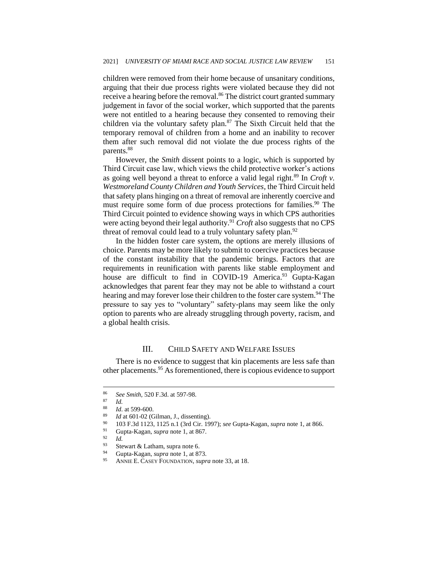children were removed from their home because of unsanitary conditions, arguing that their due process rights were violated because they did not receive a hearing before the removal.<sup>86</sup> The district court granted summary judgement in favor of the social worker, which supported that the parents were not entitled to a hearing because they consented to removing their children via the voluntary safety plan.<sup>87</sup> The Sixth Circuit held that the temporary removal of children from a home and an inability to recover them after such removal did not violate the due process rights of the parents.<sup>88</sup>

However, the *Smith* dissent points to a logic, which is supported by Third Circuit case law, which views the child protective worker's actions as going well beyond a threat to enforce a valid legal right.<sup>89</sup> In *Croft v*. *Westmoreland County Children and Youth Services*, the Third Circuit held that safety plans hinging on a threat of removal are inherently coercive and must require some form of due process protections for families.<sup>90</sup> The Third Circuit pointed to evidence showing ways in which CPS authorities were acting beyond their legal authority.<sup>91</sup> *Croft* also suggests that no CPS threat of removal could lead to a truly voluntary safety plan.<sup>92</sup>

In the hidden foster care system, the options are merely illusions of choice. Parents may be more likely to submit to coercive practices because of the constant instability that the pandemic brings. Factors that are requirements in reunification with parents like stable employment and house are difficult to find in COVID-19 America.<sup>93</sup> Gupta-Kagan acknowledges that parent fear they may not be able to withstand a court hearing and may forever lose their children to the foster care system.<sup>94</sup> The pressure to say yes to "voluntary" safety-plans may seem like the only option to parents who are already struggling through poverty, racism, and a global health crisis.

### III. CHILD SAFETY AND WELFARE ISSUES

There is no evidence to suggest that kin placements are less safe than other placements.<sup>95</sup> As forementioned, there is copious evidence to support

<sup>&</sup>lt;sup>86</sup> *See Smith*, 520 F.3d. at 597-98.

 $rac{87}{88}$  *Id.* 

 $\frac{88}{89}$  *Id.* at 599-600.

<sup>&</sup>lt;sup>89</sup> *Id* at 601-02 (Gilman, J., dissenting).<br><sup>90</sup> 103 E 3d 1123, 1125 n 1 (3rd Cir. 10

<sup>90</sup> 103 F.3d 1123, 1125 n.1 (3rd Cir. 1997); *see* Gupta-Kagan, *supra* note 1, at 866.

<sup>91</sup> Gupta-Kagan, *supra* note 1, at 867.

 $\frac{92}{93}$  *Id.* 

Stewart & Latham, supra note 6.

<sup>94</sup> Gupta-Kagan, *supra* note 1, at 873.

<sup>95</sup> ANNIE E. CASEY FOUNDATION, *supra* note 33, at 18.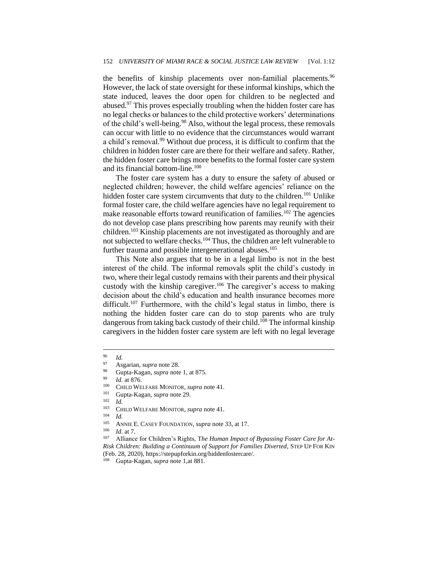the benefits of kinship placements over non-familial placements.<sup>96</sup> However, the lack of state oversight for these informal kinships, which the state induced, leaves the door open for children to be neglected and abused.<sup>97</sup> This proves especially troubling when the hidden foster care has no legal checks or balances to the child protective workers' determinations of the child's well-being.<sup>98</sup> Also, without the legal process, these removals can occur with little to no evidence that the circumstances would warrant a child's removal.<sup>99</sup> Without due process, it is difficult to confirm that the children in hidden foster care are there for their welfare and safety. Rather, the hidden foster care brings more benefits to the formal foster care system and its financial bottom-line.<sup>100</sup>

The foster care system has a duty to ensure the safety of abused or neglected children; however, the child welfare agencies' reliance on the hidden foster care system circumvents that duty to the children.<sup>101</sup> Unlike formal foster care, the child welfare agencies have no legal requirement to make reasonable efforts toward reunification of families.<sup>102</sup> The agencies do not develop case plans prescribing how parents may reunify with their children.<sup>103</sup> Kinship placements are not investigated as thoroughly and are not subjected to welfare checks.<sup>104</sup> Thus, the children are left vulnerable to further trauma and possible intergenerational abuses.<sup>105</sup>

This Note also argues that to be in a legal limbo is not in the best interest of the child. The informal removals split the child's custody in two, where their legal custody remains with their parents and their physical custody with the kinship caregiver.<sup>106</sup> The caregiver's access to making decision about the child's education and health insurance becomes more difficult.<sup>107</sup> Furthermore, with the child's legal status in limbo, there is nothing the hidden foster care can do to stop parents who are truly dangerous from taking back custody of their child.<sup>108</sup> The informal kinship caregivers in the hidden foster care system are left with no legal leverage

 $\frac{106}{107}$  *Id.* at 7.

 $\frac{96}{97}$  *Id.* 

<sup>97</sup> Asgarian, *supra* note 28.

<sup>98</sup> Gupta-Kagan, *supra* note 1, at 875.

 $^{99}$  *Id.* at 876.

<sup>100</sup> CHILD WELFARE MONITOR, *supra* note 41.

<sup>101</sup> Gupta-Kagan, *supra* note 29.

 $\frac{102}{103}$  *Id.* 

<sup>&</sup>lt;sup>103</sup> CHILD WELFARE MONITOR, *supra* note 41.

 $\frac{104}{105}$  *Id.* 

<sup>&</sup>lt;sup>105</sup> ANNIE E. CASEY FOUNDATION, *supra* note 33, at 17.

Alliance for Children's Rights, The Human Impact of Bypassing Foster Care for At-*Risk Children: Building a Continuum of Support for Families Diverted*, STEP UP FOR KIN (Feb. 28, 2020), https://stepupforkin.org/hiddenfostercare/.

<sup>108</sup> Gupta-Kagan, *supra* note 1,at 881.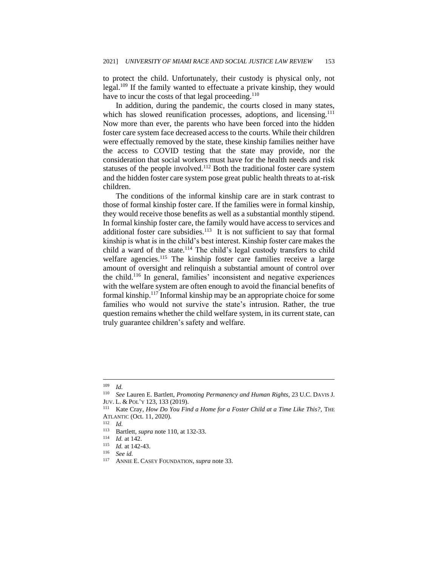to protect the child. Unfortunately, their custody is physical only, not legal.<sup>109</sup> If the family wanted to effectuate a private kinship, they would have to incur the costs of that legal proceeding.<sup>110</sup>

In addition, during the pandemic, the courts closed in many states, which has slowed reunification processes, adoptions, and licensing.<sup>111</sup> Now more than ever, the parents who have been forced into the hidden foster care system face decreased access to the courts. While their children were effectually removed by the state, these kinship families neither have the access to COVID testing that the state may provide, nor the consideration that social workers must have for the health needs and risk statuses of the people involved.<sup>112</sup> Both the traditional foster care system and the hidden foster care system pose great public health threats to at-risk children.

The conditions of the informal kinship care are in stark contrast to those of formal kinship foster care. If the families were in formal kinship, they would receive those benefits as well as a substantial monthly stipend. In formal kinship foster care, the family would have access to services and additional foster care subsidies.<sup>113</sup> It is not sufficient to say that formal kinship is what is in the child's best interest. Kinship foster care makes the child a ward of the state.<sup>114</sup> The child's legal custody transfers to child welfare agencies.<sup>115</sup> The kinship foster care families receive a large amount of oversight and relinquish a substantial amount of control over the child.<sup>116</sup> In general, families' inconsistent and negative experiences with the welfare system are often enough to avoid the financial benefits of formal kinship.<sup>117</sup> Informal kinship may be an appropriate choice for some families who would not survive the state's intrusion. Rather, the true question remains whether the child welfare system, in its current state, can truly guarantee children's safety and welfare.

<sup>109</sup> *Id.*

<sup>110</sup> *See* Lauren E. Bartlett, *Promoting Permanency and Human Rights*, 23 U.C. DAVIS J. JUV. L. & POL'Y 123, 133 (2019).

<sup>&</sup>lt;sup>111</sup> Kate Cray, *How Do You Find a Home for a Foster Child at a Time Like This?*, THE ATLANTIC (Oct. 11, 2020).

 $\frac{112}{113}$  *Id.* 

<sup>&</sup>lt;sup>113</sup> Bartlett, *supra* note 110, at 132-33.

 $\frac{114}{115}$  *Id.* at 142.

*Id.* at 142-43.

<sup>116</sup> *See id.*

ANNIE E. CASEY FOUNDATION, *supra* note 33.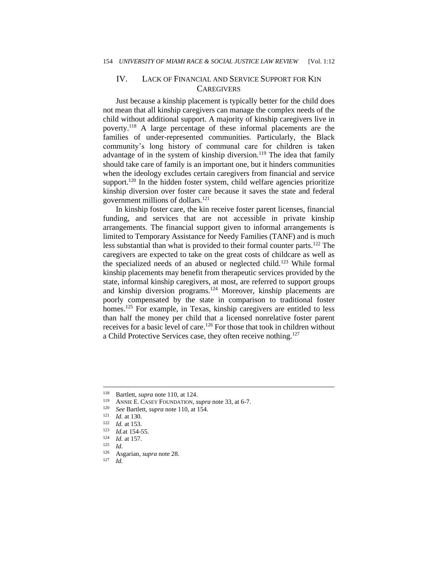## IV. LACK OF FINANCIAL AND SERVICE SUPPORT FOR KIN **CAREGIVERS**

Just because a kinship placement is typically better for the child does not mean that all kinship caregivers can manage the complex needs of the child without additional support. A majority of kinship caregivers live in poverty.<sup>118</sup> A large percentage of these informal placements are the families of under-represented communities. Particularly, the Black community's long history of communal care for children is taken advantage of in the system of kinship diversion.<sup>119</sup> The idea that family should take care of family is an important one, but it hinders communities when the ideology excludes certain caregivers from financial and service support.<sup>120</sup> In the hidden foster system, child welfare agencies prioritize kinship diversion over foster care because it saves the state and federal government millions of dollars.<sup>121</sup>

In kinship foster care, the kin receive foster parent licenses, financial funding, and services that are not accessible in private kinship arrangements. The financial support given to informal arrangements is limited to Temporary Assistance for Needy Families (TANF) and is much less substantial than what is provided to their formal counter parts.<sup>122</sup> The caregivers are expected to take on the great costs of childcare as well as the specialized needs of an abused or neglected child.<sup>123</sup> While formal kinship placements may benefit from therapeutic services provided by the state, informal kinship caregivers, at most, are referred to support groups and kinship diversion programs.<sup>124</sup> Moreover, kinship placements are poorly compensated by the state in comparison to traditional foster homes.<sup>125</sup> For example, in Texas, kinship caregivers are entitled to less than half the money per child that a licensed nonrelative foster parent receives for a basic level of care.<sup>126</sup> For those that took in children without a Child Protective Services case, they often receive nothing.<sup>127</sup>

<sup>&</sup>lt;sup>118</sup> Bartlett, *supra* note 110, at 124.

<sup>&</sup>lt;sup>119</sup> ANNIE E. CASEY FOUNDATION, *supra* note 33, at 6-7.<br><sup>120</sup> See Bertlett, supra note 110, et 154.

<sup>120</sup> *See* Bartlett, *supra* note 110, at 154.

 $\frac{121}{122}$  *Id.* at 130.

 $\frac{122}{123}$  *Id.* at 153.

 $\frac{123}{124}$  *Id.* at 154-55.

 $\frac{124}{125}$  *Id.* at 157.

 $Id.$ 

<sup>126</sup> Asgarian, *supra* note 28.

 $Id$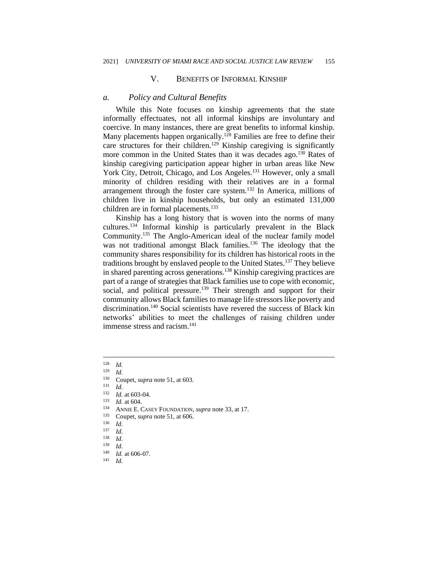#### V. BENEFITS OF INFORMAL KINSHIP

#### *a. Policy and Cultural Benefits*

While this Note focuses on kinship agreements that the state informally effectuates, not all informal kinships are involuntary and coercive. In many instances, there are great benefits to informal kinship. Many placements happen organically.<sup>128</sup> Families are free to define their care structures for their children.<sup>129</sup> Kinship caregiving is significantly more common in the United States than it was decades ago.<sup>130</sup> Rates of kinship caregiving participation appear higher in urban areas like New York City, Detroit, Chicago, and Los Angeles.<sup>131</sup> However, only a small minority of children residing with their relatives are in a formal arrangement through the foster care system.<sup>132</sup> In America, millions of children live in kinship households, but only an estimated 131,000 children are in formal placements.<sup>133</sup>

Kinship has a long history that is woven into the norms of many cultures.<sup>134</sup> Informal kinship is particularly prevalent in the Black Community.<sup>135</sup> The Anglo-American ideal of the nuclear family model was not traditional amongst Black families.<sup>136</sup> The ideology that the community shares responsibility for its children has historical roots in the traditions brought by enslaved people to the United States.<sup>137</sup> They believe in shared parenting across generations.<sup>138</sup> Kinship caregiving practices are part of a range of strategies that Black families use to cope with economic, social, and political pressure.<sup>139</sup> Their strength and support for their community allows Black families to manage life stressors like poverty and discrimination.<sup>140</sup> Social scientists have revered the success of Black kin networks' abilities to meet the challenges of raising children under immense stress and racism.<sup>141</sup>

- <sup>134</sup> ANNIE E. CASEY FOUNDATION, *supra* note 33, at 17.
- <sup>135</sup> Coupet, *supra* note 51, at 606.

<sup>141</sup> *Id*.

 $\frac{128}{129}$  *Id.* 

 $\frac{129}{130}$  *Id.* 

Coupet, *supra* note 51, at 603.

 $\frac{131}{132}$  *Id.* 

 $\frac{132}{133}$  *Id.* at 603-04.

 $\frac{133}{134}$  *Id.* at 604.

 $\frac{136}{137}$  *Id.* 

 $\frac{137}{138}$  *Id.* 

 $\frac{138}{139}$  *Id.* 

*Id.* 

 $\frac{140}{141}$  *Id.* at 606-07.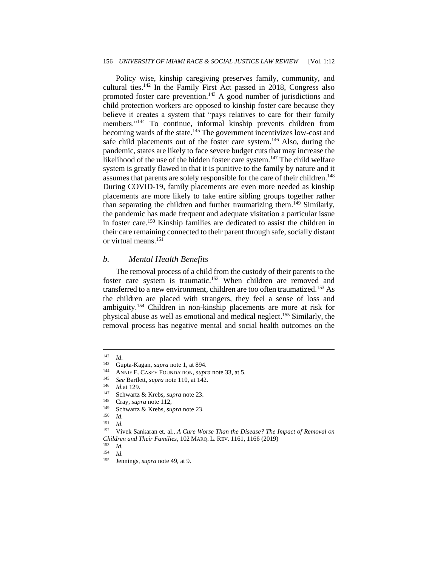#### 156 *UNIVERSITY OF MIAMI RACE & SOCIAL JUSTICE LAW REVIEW* [Vol. 1:12

Policy wise, kinship caregiving preserves family, community, and cultural ties.<sup>142</sup> In the Family First Act passed in 2018, Congress also promoted foster care prevention.<sup>143</sup> A good number of jurisdictions and child protection workers are opposed to kinship foster care because they believe it creates a system that "pays relatives to care for their family members."<sup>144</sup> To continue, informal kinship prevents children from becoming wards of the state.<sup>145</sup> The government incentivizes low-cost and safe child placements out of the foster care system.<sup>146</sup> Also, during the pandemic, states are likely to face severe budget cuts that may increase the likelihood of the use of the hidden foster care system.<sup>147</sup> The child welfare system is greatly flawed in that it is punitive to the family by nature and it assumes that parents are solely responsible for the care of their children.<sup>148</sup> During COVID-19, family placements are even more needed as kinship placements are more likely to take entire sibling groups together rather than separating the children and further traumatizing them.<sup>149</sup> Similarly, the pandemic has made frequent and adequate visitation a particular issue in foster care.<sup>150</sup> Kinship families are dedicated to assist the children in their care remaining connected to their parent through safe, socially distant or virtual means.<sup>151</sup>

#### *b. Mental Health Benefits*

The removal process of a child from the custody of their parents to the foster care system is traumatic.<sup>152</sup> When children are removed and transferred to a new environment, children are too often traumatized.<sup>153</sup> As the children are placed with strangers, they feel a sense of loss and ambiguity.<sup>154</sup> Children in non-kinship placements are more at risk for physical abuse as well as emotional and medical neglect.<sup>155</sup> Similarly, the removal process has negative mental and social health outcomes on the

 $\frac{142}{143}$  *Id.* 

Gupta-Kagan, *supra* note 1, at 894.

<sup>&</sup>lt;sup>144</sup> ANNIE E. CASEY FOUNDATION, *supra* note 33, at 5.

<sup>145</sup> *See* Bartlett, *supra* note 110, at 142.

*Id.*at 129.

<sup>147</sup> Schwartz & Krebs, *supra* note 23.

<sup>&</sup>lt;sup>148</sup> Cray, *supra* note 112,<br><sup>149</sup> Schwartz & Krabs, su

<sup>149</sup> Schwartz & Krebs, *supra* note 23.

 $\frac{150}{151}$  *Id.* 

 $\frac{151}{152}$  *Id.* 

<sup>152</sup> Vivek Sankaran et. al., *A Cure Worse Than the Disease? The Impact of Removal on Children and Their Families*, 102 MARQ. L. REV. 1161, 1166 (2019)

*Id.* 

 $\frac{154}{155}$  *Id.* 

Jennings, *supra* note 49, at 9.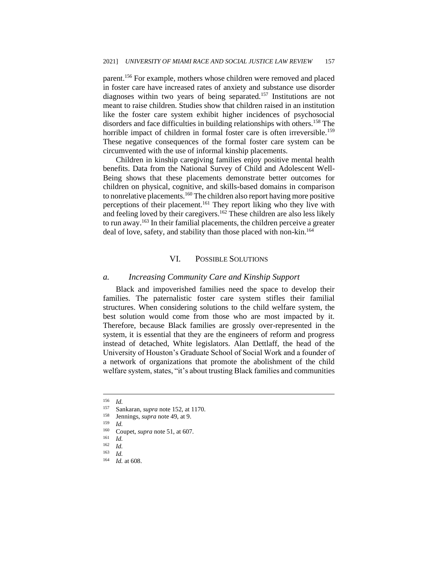parent.<sup>156</sup> For example, mothers whose children were removed and placed in foster care have increased rates of anxiety and substance use disorder diagnoses within two years of being separated.<sup>157</sup> Institutions are not meant to raise children. Studies show that children raised in an institution like the foster care system exhibit higher incidences of psychosocial disorders and face difficulties in building relationships with others.<sup>158</sup> The horrible impact of children in formal foster care is often irreversible.<sup>159</sup> These negative consequences of the formal foster care system can be circumvented with the use of informal kinship placements.

Children in kinship caregiving families enjoy positive mental health benefits. Data from the National Survey of Child and Adolescent Well-Being shows that these placements demonstrate better outcomes for children on physical, cognitive, and skills-based domains in comparison to nonrelative placements.<sup>160</sup> The children also report having more positive perceptions of their placement.<sup>161</sup> They report liking who they live with and feeling loved by their caregivers.<sup>162</sup> These children are also less likely to run away.<sup>163</sup> In their familial placements, the children perceive a greater deal of love, safety, and stability than those placed with non-kin.<sup>164</sup>

### VI. POSSIBLE SOLUTIONS

#### *a. Increasing Community Care and Kinship Support*

Black and impoverished families need the space to develop their families. The paternalistic foster care system stifles their familial structures. When considering solutions to the child welfare system, the best solution would come from those who are most impacted by it. Therefore, because Black families are grossly over-represented in the system, it is essential that they are the engineers of reform and progress instead of detached, White legislators. Alan Dettlaff, the head of the University of Houston's Graduate School of Social Work and a founder of a network of organizations that promote the abolishment of the child welfare system, states, "it's about trusting Black families and communities

 $\frac{156}{157}$  *Id.* 

<sup>157</sup> Sankaran, *supra* note 152, at 1170.

<sup>&</sup>lt;sup>158</sup> Jennings, *supra* note 49, at 9.

 $\frac{159}{160}$  *Id.* 

<sup>&</sup>lt;sup>160</sup> Coupet, *supra* note 51, at 607.

 $\frac{161}{162}$  *Id.* 

<sup>162</sup> *Id.*

 $\frac{163}{164}$  *Id.* 

*Id.* at 608.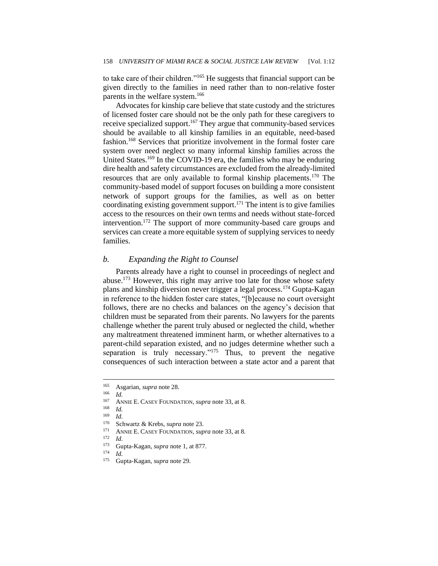to take care of their children."<sup>165</sup> He suggests that financial support can be given directly to the families in need rather than to non-relative foster parents in the welfare system.<sup>166</sup>

Advocates for kinship care believe that state custody and the strictures of licensed foster care should not be the only path for these caregivers to receive specialized support.<sup>167</sup> They argue that community-based services should be available to all kinship families in an equitable, need-based fashion.<sup>168</sup> Services that prioritize involvement in the formal foster care system over need neglect so many informal kinship families across the United States.<sup>169</sup> In the COVID-19 era, the families who may be enduring dire health and safety circumstances are excluded from the already-limited resources that are only available to formal kinship placements.<sup>170</sup> The community-based model of support focuses on building a more consistent network of support groups for the families, as well as on better coordinating existing government support.<sup>171</sup> The intent is to give families access to the resources on their own terms and needs without state-forced intervention.<sup>172</sup> The support of more community-based care groups and services can create a more equitable system of supplying services to needy families.

### *b. Expanding the Right to Counsel*

Parents already have a right to counsel in proceedings of neglect and abuse.<sup>173</sup> However, this right may arrive too late for those whose safety plans and kinship diversion never trigger a legal process.<sup>174</sup> Gupta-Kagan in reference to the hidden foster care states, "[b]ecause no court oversight follows, there are no checks and balances on the agency's decision that children must be separated from their parents. No lawyers for the parents challenge whether the parent truly abused or neglected the child, whether any maltreatment threatened imminent harm, or whether alternatives to a parent-child separation existed, and no judges determine whether such a separation is truly necessary."<sup>175</sup> Thus, to prevent the negative consequences of such interaction between a state actor and a parent that

<sup>167</sup> ANNIE E. CASEY FOUNDATION, *supra* note 33, at 8.

<sup>165</sup> Asgarian, *supra* note 28.

 $\frac{166}{167}$  *Id.* 

<sup>168</sup> *Id.*

<sup>169</sup> *Id.*

<sup>&</sup>lt;sup>170</sup> Schwartz & Krebs, *supra* note 23.<br><sup>171</sup> ANNIE E CASEV FOUNDATION, *sur* 

<sup>&</sup>lt;sup>171</sup> ANNIE E. CASEY FOUNDATION, *supra* note 33, at 8.<br><sup>172</sup>  $Id$ 

 $\frac{172}{173}$  *Id.* 

Gupta-Kagan, *supra* note 1, at 877.

 $\frac{174}{175}$  *Id.* 

<sup>175</sup> Gupta-Kagan, *supra* note 29.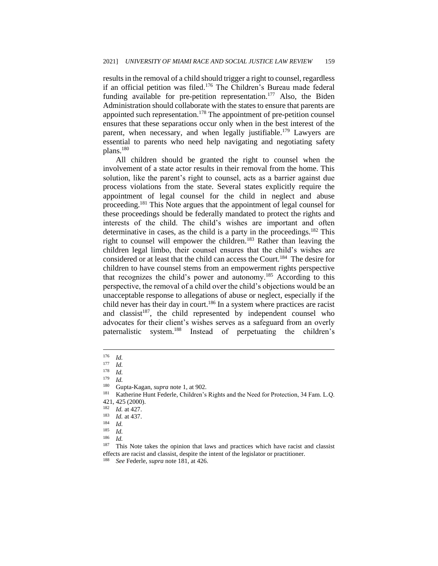results in the removal of a child should trigger a right to counsel, regardless if an official petition was filed.<sup>176</sup> The Children's Bureau made federal funding available for pre-petition representation.<sup>177</sup> Also, the Biden Administration should collaborate with the states to ensure that parents are appointed such representation.<sup>178</sup> The appointment of pre-petition counsel ensures that these separations occur only when in the best interest of the parent, when necessary, and when legally justifiable.<sup>179</sup> Lawyers are essential to parents who need help navigating and negotiating safety plans.<sup>180</sup>

All children should be granted the right to counsel when the involvement of a state actor results in their removal from the home. This solution, like the parent's right to counsel, acts as a barrier against due process violations from the state. Several states explicitly require the appointment of legal counsel for the child in neglect and abuse proceeding.<sup>181</sup> This Note argues that the appointment of legal counsel for these proceedings should be federally mandated to protect the rights and interests of the child. The child's wishes are important and often determinative in cases, as the child is a party in the proceedings.<sup>182</sup> This right to counsel will empower the children.<sup>183</sup> Rather than leaving the children legal limbo, their counsel ensures that the child's wishes are considered or at least that the child can access the Court.<sup>184</sup> The desire for children to have counsel stems from an empowerment rights perspective that recognizes the child's power and autonomy.<sup>185</sup> According to this perspective, the removal of a child over the child's objections would be an unacceptable response to allegations of abuse or neglect, especially if the child never has their day in court.<sup>186</sup> In a system where practices are racist and classist<sup>187</sup>, the child represented by independent counsel who advocates for their client's wishes serves as a safeguard from an overly paternalistic system.<sup>188</sup> Instead of perpetuating the children's

 $\frac{176}{177}$  *Id.* 

 $\frac{177}{178}$  *Id.* 

 $\frac{178}{179}$  *Id.* 

 $\frac{179}{180}$  *Id.* 

Gupta-Kagan, *supra* note 1, at 902.

<sup>181</sup> Katherine Hunt Federle, Children's Rights and the Need for Protection, 34 Fam. L.Q. 421, 425 (2000).

<sup>182</sup> *Id.* at 427.

 $\frac{183}{184}$  *Id.* at 437.

 $\frac{184}{185}$  *Id.* 

 $\frac{185}{186}$  *Id.*  $\frac{186}{187}$  *Id.* 

This Note takes the opinion that laws and practices which have racist and classist effects are racist and classist, despite the intent of the legislator or practitioner.

<sup>188</sup> *See* Federle, *supra* note 181, at 426.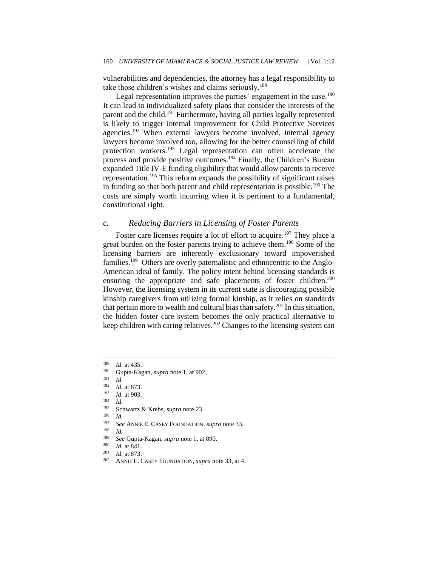vulnerabilities and dependencies, the attorney has a legal responsibility to take those children's wishes and claims seriously.<sup>189</sup>

Legal representation improves the parties' engagement in the case.<sup>190</sup> It can lead to individualized safety plans that consider the interests of the parent and the child.<sup>191</sup> Furthermore, having all parties legally represented is likely to trigger internal improvement for Child Protective Services agencies.<sup>192</sup> When external lawyers become involved, internal agency lawyers become involved too, allowing for the better counselling of child protection workers.<sup>193</sup> Legal representation can often accelerate the process and provide positive outcomes.<sup>194</sup> Finally, the Children's Bureau expanded Title IV-E funding eligibility that would allow parents to receive representation.<sup>195</sup> This reform expands the possibility of significant raises in funding so that both parent and child representation is possible.<sup>196</sup> The costs are simply worth incurring when it is pertinent to a fundamental, constitutional right.

#### *c. Reducing Barriers in Licensing of Foster Parents*

Foster care licenses require a lot of effort to acquire.<sup>197</sup> They place a great burden on the foster parents trying to achieve them.<sup>198</sup> Some of the licensing barriers are inherently exclusionary toward impoverished families.<sup>199</sup> Others are overly paternalistic and ethnocentric to the Anglo-American ideal of family. The policy intent behind licensing standards is ensuring the appropriate and safe placements of foster children.<sup>200</sup> However, the licensing system in its current state is discouraging possible kinship caregivers from utilizing formal kinship, as it relies on standards that pertain more to wealth and cultural bias than safety.<sup>201</sup> In this situation, the hidden foster care system becomes the only practical alternative to keep children with caring relatives.<sup>202</sup> Changes to the licensing system can

 $\frac{194}{195}$  *Id.* 

 $\frac{196}{197}$  *Id.* 

<sup>197</sup> *See* ANNIE E. CASEY FOUNDATION, *supra* note 33.

 $\frac{198}{199}$  *Id.* 

*Id.* at 841.

 $\frac{201}{202}$  *Id.* at 873.

 $\frac{189}{190}$  *Id.* at 435.

<sup>190</sup> Gupta-Kagan, *supra* note 1, at 902.

 $\frac{191}{192}$  *Id.* 

<sup>&</sup>lt;sup>192</sup> *Id.* at 873.

<sup>193</sup> *Id.* at 903.

<sup>195</sup> Schwartz & Krebs, *supra* note 23.

<sup>199</sup> *See* Gupta-Kagan, *supra* note 1, at 890.

ANNIE E. CASEY FOUNDATION, *supra* note 33, at 4.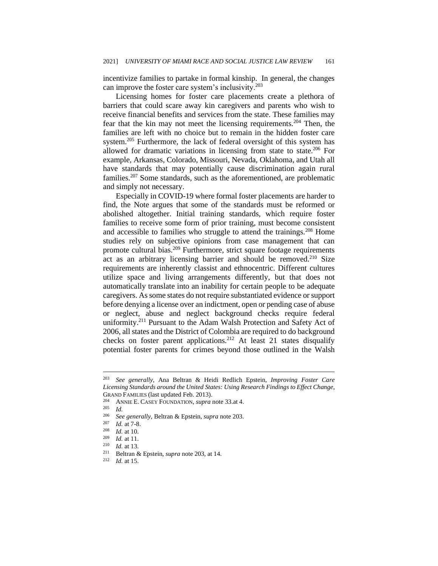incentivize families to partake in formal kinship. In general, the changes can improve the foster care system's inclusivity.<sup>203</sup>

Licensing homes for foster care placements create a plethora of barriers that could scare away kin caregivers and parents who wish to receive financial benefits and services from the state. These families may fear that the kin may not meet the licensing requirements.<sup>204</sup> Then, the families are left with no choice but to remain in the hidden foster care system.<sup>205</sup> Furthermore, the lack of federal oversight of this system has allowed for dramatic variations in licensing from state to state.<sup>206</sup> For example, Arkansas, Colorado, Missouri, Nevada, Oklahoma, and Utah all have standards that may potentially cause discrimination again rural families.<sup>207</sup> Some standards, such as the aforementioned, are problematic and simply not necessary.

Especially in COVID-19 where formal foster placements are harder to find, the Note argues that some of the standards must be reformed or abolished altogether. Initial training standards, which require foster families to receive some form of prior training, must become consistent and accessible to families who struggle to attend the trainings.<sup>208</sup> Home studies rely on subjective opinions from case management that can promote cultural bias.<sup>209</sup> Furthermore, strict square footage requirements act as an arbitrary licensing barrier and should be removed.<sup>210</sup> Size requirements are inherently classist and ethnocentric. Different cultures utilize space and living arrangements differently, but that does not automatically translate into an inability for certain people to be adequate caregivers. As some states do not require substantiated evidence or support before denying a license over an indictment, open or pending case of abuse or neglect, abuse and neglect background checks require federal uniformity.<sup>211</sup> Pursuant to the Adam Walsh Protection and Safety Act of 2006, all states and the District of Colombia are required to do background checks on foster parent applications.<sup>212</sup> At least 21 states disqualify potential foster parents for crimes beyond those outlined in the Walsh

<sup>203</sup> *See generally*, Ana Beltran & Heidi Redlich Epstein, *Improving Foster Care Licensing Standards around the United States: Using Research Findings to Effect Change*, GRAND FAMILIES (last updated Feb. 2013).

<sup>&</sup>lt;sup>204</sup> ANNIE E. CASEY FOUNDATION, *supra* note 33.at 4.

 $\frac{205}{206}$  *Id.* 

<sup>206</sup> *See generally*, Beltran & Epstein, *supra* note 203.

 $\frac{207}{208}$  *Id.* at 7-8.

<sup>208</sup> *Id.* at 10.

 $\frac{209}{210}$  *Id.* at 11.

*Id.* at 13.

<sup>&</sup>lt;sup>211</sup> Beltran & Epstein, *supra* note 203, at 14.

*Id.* at 15.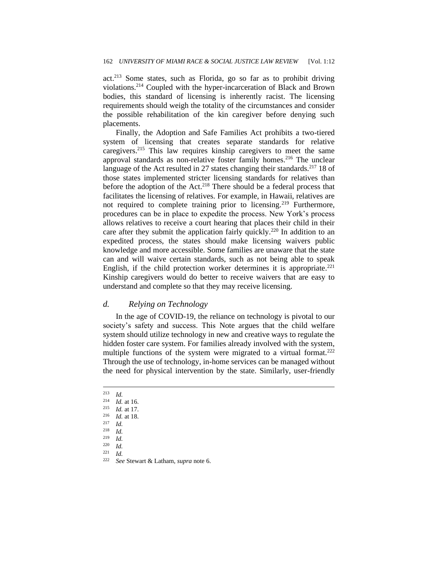act.<sup>213</sup> Some states, such as Florida, go so far as to prohibit driving violations.<sup>214</sup> Coupled with the hyper-incarceration of Black and Brown bodies, this standard of licensing is inherently racist. The licensing requirements should weigh the totality of the circumstances and consider the possible rehabilitation of the kin caregiver before denying such placements.

Finally, the Adoption and Safe Families Act prohibits a two-tiered system of licensing that creates separate standards for relative caregivers.<sup>215</sup> This law requires kinship caregivers to meet the same approval standards as non-relative foster family homes.<sup>216</sup> The unclear language of the Act resulted in 27 states changing their standards.<sup>217</sup> 18 of those states implemented stricter licensing standards for relatives than before the adoption of the Act.<sup>218</sup> There should be a federal process that facilitates the licensing of relatives. For example, in Hawaii, relatives are not required to complete training prior to licensing.<sup>219</sup> Furthermore, procedures can be in place to expedite the process. New York's process allows relatives to receive a court hearing that places their child in their care after they submit the application fairly quickly.<sup>220</sup> In addition to an expedited process, the states should make licensing waivers public knowledge and more accessible. Some families are unaware that the state can and will waive certain standards, such as not being able to speak English, if the child protection worker determines it is appropriate.<sup>221</sup> Kinship caregivers would do better to receive waivers that are easy to understand and complete so that they may receive licensing.

#### *d. Relying on Technology*

In the age of COVID-19, the reliance on technology is pivotal to our society's safety and success. This Note argues that the child welfare system should utilize technology in new and creative ways to regulate the hidden foster care system. For families already involved with the system, multiple functions of the system were migrated to a virtual format.<sup>222</sup> Through the use of technology, in-home services can be managed without the need for physical intervention by the state. Similarly, user-friendly

 $\frac{221}{222}$  *Id.* 

 $\frac{213}{214}$  *Id.* 

 $\frac{214}{215}$  *Id.* at 16.

 $\frac{215}{216}$  *Id.* at 17.

 $\frac{216}{217}$  *Id.* at 18.

 $\frac{217}{218}$  *Id.* 

 $\frac{218}{219}$  *Id.* 

 $\frac{219}{220}$  *Id.* 

*Id.* 

<sup>222</sup> *See* Stewart & Latham, *supra* note 6.